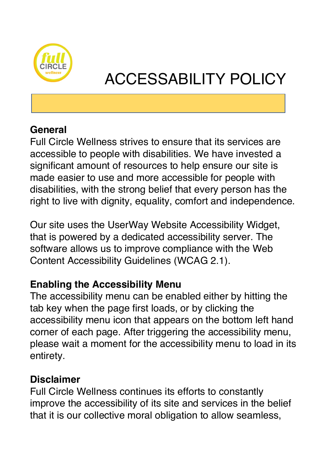

# ACCESSABILITY POLICY

### **General**

Full Circle Wellness strives to ensure that its services are accessible to people with disabilities. We have invested a significant amount of resources to help ensure our site is made easier to use and more accessible for people with disabilities, with the strong belief that every person has the right to live with dignity, equality, comfort and independence.

Our site uses the UserWay Website Accessibility Widget, that is powered by a dedicated accessibility server. The software allows us to improve compliance with the Web Content Accessibility Guidelines (WCAG 2.1).

# **Enabling the Accessibility Menu**

The accessibility menu can be enabled either by hitting the tab key when the page first loads, or by clicking the accessibility menu icon that appears on the bottom left hand corner of each page. After triggering the accessibility menu, please wait a moment for the accessibility menu to load in its entirety.

#### **Disclaimer**

Full Circle Wellness continues its efforts to constantly improve the accessibility of its site and services in the belief that it is our collective moral obligation to allow seamless,